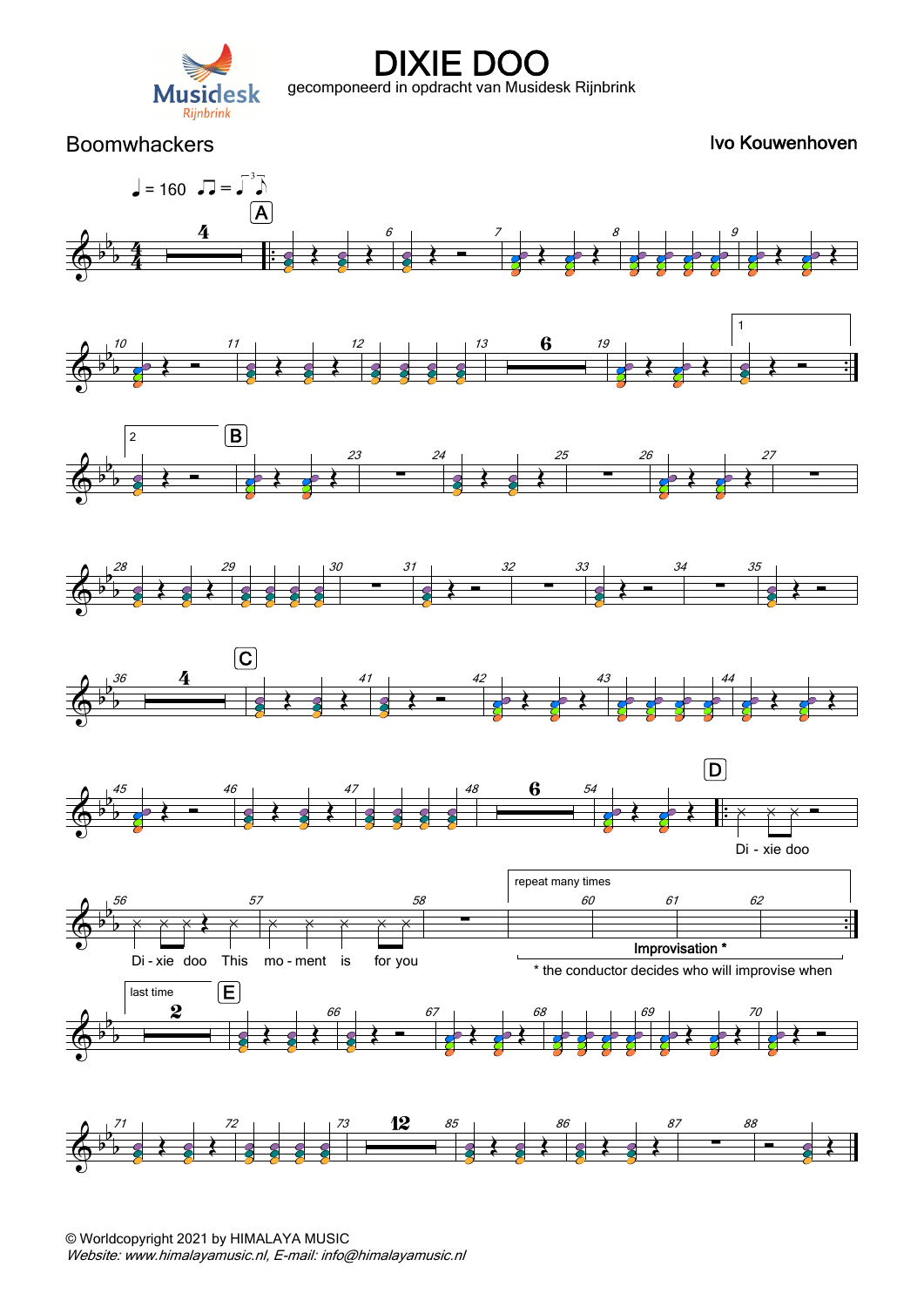

Boomwhackers **IVo Kouwenhoven** 

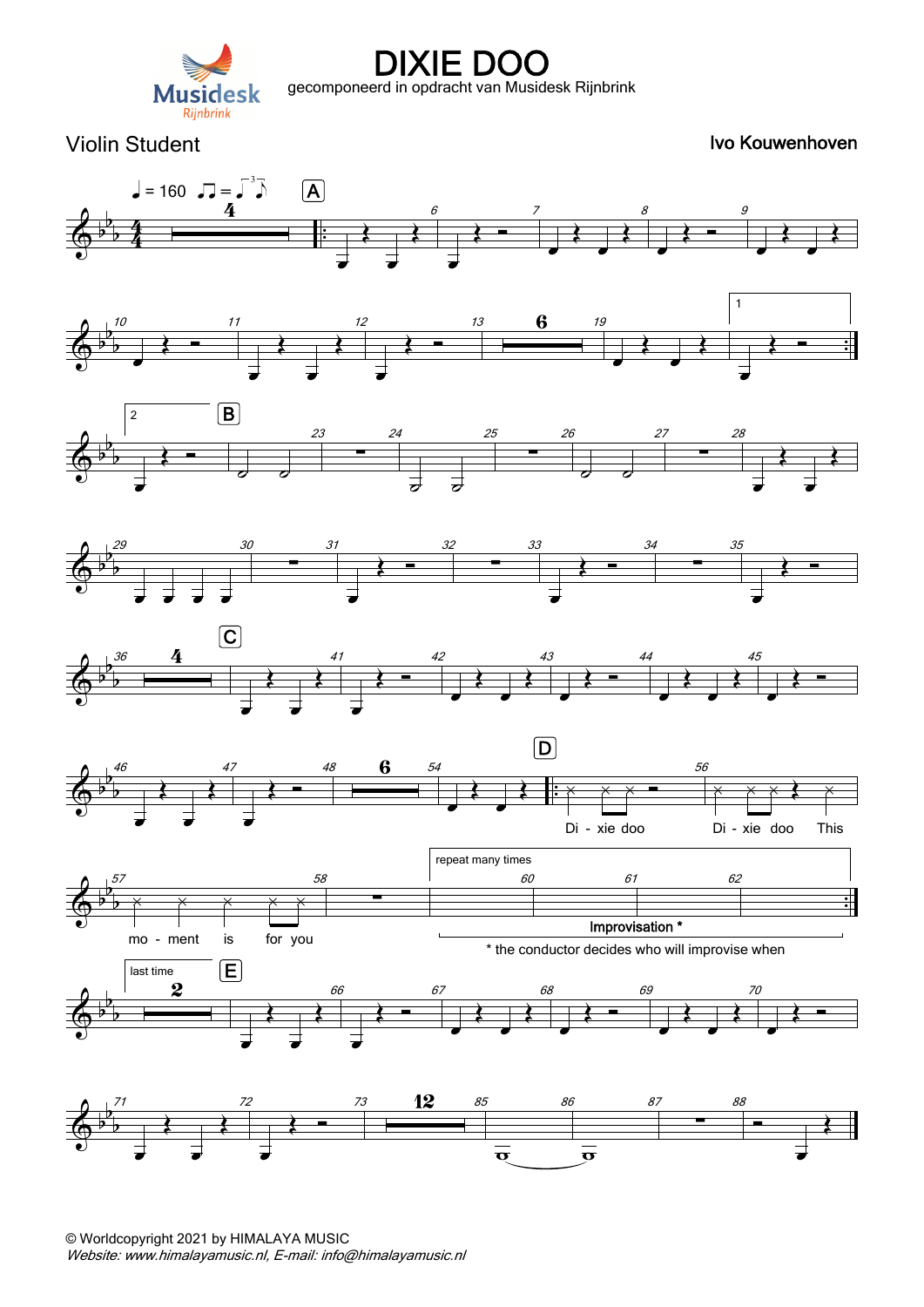

Violin Student **IVo Kouwenhoven** Ivo Kouwenhoven











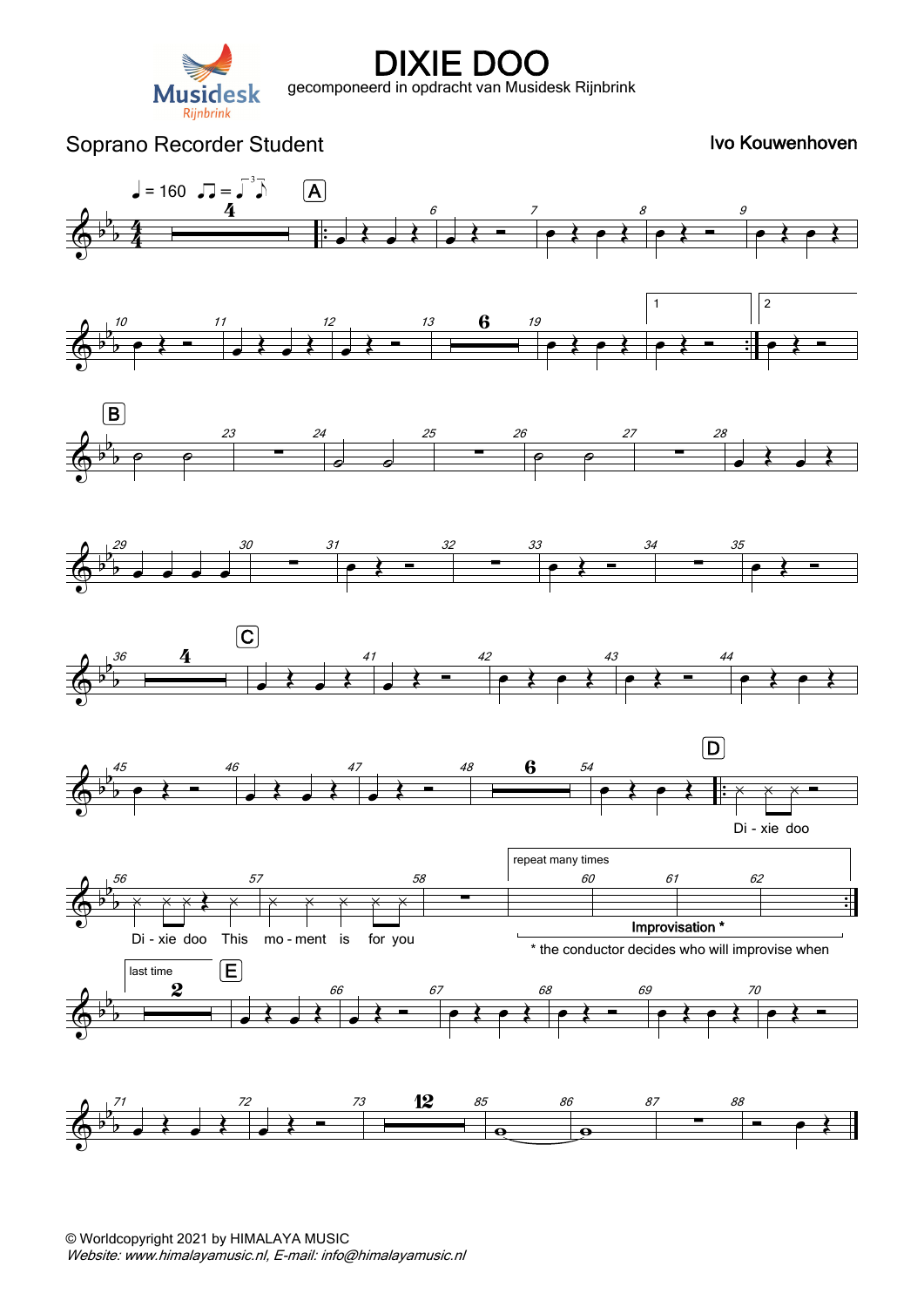

# Soprano Recorder Student **IVo Kouwenhoven** Ivo Kouwenhoven

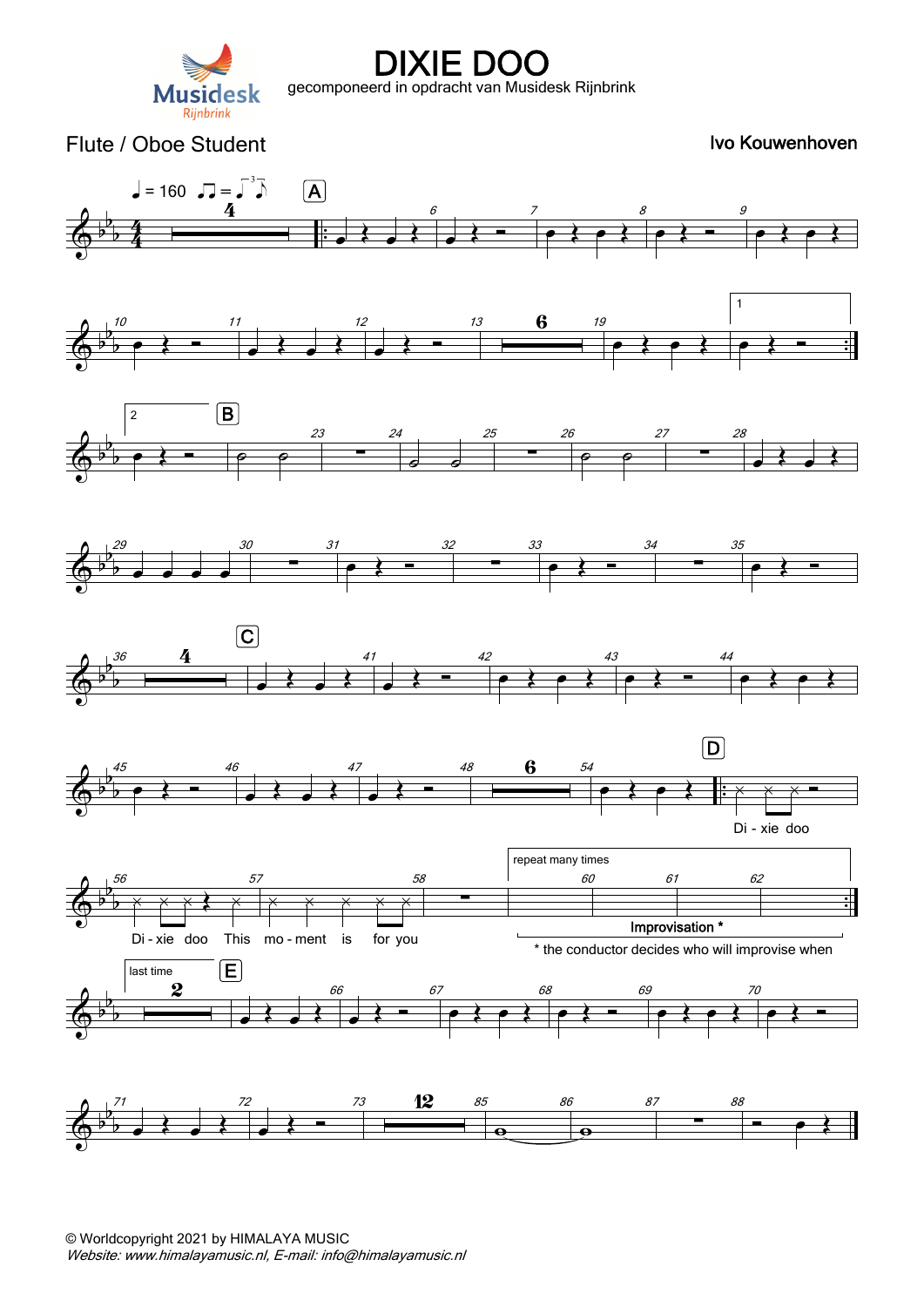

#### Flute / Oboe Student **Ivo Kouwenhoven**  $\sqrt{2} = 160$   $\sqrt{2} = \sqrt{3}$  $\boxed{\mathsf{A}}$  $\frac{4}{\overline{4}}$ 6 8  $\bullet$   $\leftarrow$   $\bullet$ b  $\begin{array}{c} \n \overline{1} & \overline{1} & \overline{1} \\ \n \overline{1} & \overline{1} & \overline{1} \\ \n \overline{1} & \overline{1} & \overline{1} \\ \n \end{array}$  $\frac{4}{4}$  .  $\overline{\Phi^{\flat}}$  $\overrightarrow{e}$  $\overrightarrow{e}$  $\overline{\bigstar}$  $\frac{4}{4}$ 1  $\begin{array}{c|c|c}\n & 13 & 6 & 19 \\
\hline\n\end{array}$ b . <sup>10</sup>  $\bullet$   $\leftarrow$   $\leftarrow$   $\leftarrow$   $\leftarrow$   $\leftarrow$   $\leftarrow$   $\leftarrow$   $\leftarrow$   $\leftarrow$   $\leftarrow$   $\leftarrow$   $\leftarrow$   $\leftarrow$   $\leftarrow$   $\leftarrow$   $\leftarrow$   $\leftarrow$   $\leftarrow$   $\leftarrow$   $\leftarrow$   $\leftarrow$   $\leftarrow$   $\leftarrow$   $\leftarrow$   $\leftarrow$   $\leftarrow$   $\leftarrow$   $\leftarrow$   $\leftarrow$   $\leftarrow$   $\leftarrow$   $\leftarrow$   $\leftarrow$   $\leftarrow$   $\leftarrow$   $\leftarrow$  12 b .  $\overrightarrow{A}$  $\overrightarrow{a}$  $\bullet$   $\leftarrow$   $\leftarrow$   $\leftarrow$  $\overrightarrow{e}$  $\boxed{B}$ 2 25 23 27 b  $\begin{array}{c|c}\n 24 \\
 \hline\n \end{array}$  $rac{26}{\blacksquare}$  $\begin{array}{c|c}\n 28 \\
 \hline\n \end{array}$  $\overline{\Phi^{\flat}}$  $e$   $\uparrow$   $\uparrow$   $e$   $e$   $e$  $\rho$   $\rho$  $\bullet$   $\overrightarrow{a}$   $\overrightarrow{b}$ b  $\overline{\bullet}$   $\overline{\bullet}$ b 29 30  $\frac{31}{\boxed{}}$  $\bullet$   $\leftarrow$   $\leftarrow$   $\leftarrow$  $\begin{array}{c}\n 33 \\
 \hline\n 72\n \end{array}$  $\bullet$   $\leftarrow$   $\leftarrow$   $\leftarrow$  $\begin{array}{c}\n 35 \\
 \hline\n \end{array}$  $\overline{\Phi^{\flat}}$  $\overrightarrow{e}$ b œ œ œ œ  $\overline{C}$  $rac{36}{1}$ b 41  $\begin{array}{c} \n \stackrel{42}{\longrightarrow} \end{array}$ 43  $\bullet$   $\leftarrow$   $44$  $\overline{\Phi^{\flat}}$  $\overrightarrow{a}$  $\bullet$   $\leftarrow$   $\leftarrow$   $\leftarrow$  $e$   $\leftrightarrow$   $e$   $\leftrightarrow$ b  $\boxed{\mathsf{D}}$  $\begin{array}{|c|c|c|c|}\n\hline\n\end{array}$   $\begin{array}{|c|c|c|}\n\hline\n\end{array}$ b . <sup>45</sup>  $\leftrightarrow$   $\leftarrow$   $\leftarrow$ 47 b .  $\overline{\Phi^{\flat}}$  $\overrightarrow{a}$ **e** } **e** } : x x x = Di - xie doo repeat many times 58 60 61 62 b . <sup>56</sup> 57 b .  $\overline{\Phi^{\flat}}$  $\overline{\phantom{a}}$  $\times$   $\times$   $\times$   $\times$   $\times$ ∑ Improvisation \* Di-xie doo - xie doo This mo-ment is for you \* the conductor decides who will improvise when E last time 2 66 68 b <sup>œ</sup> <sup>Œ</sup> <sup>67</sup>  $\bullet$   $\leftarrow$   $\bullet$ 70  $\overline{\Phi^{\flat}}$  $\rightarrow$  $e$   $\leftrightarrow$   $e$   $\leftrightarrow$  $e$   $\leftrightarrow$   $e$   $\leftrightarrow$  $\overrightarrow{e}$ b  $\begin{array}{c|c|c}\n & 73 & 12 & 85 \\
\hline\n\end{array}$ 86 b 71 72 87  $\begin{array}{c}\n 88 \\
 \hline\n 72\n \end{array}$  $\overline{\Phi^{\flat}}$  $\overrightarrow{a}$  $\overline{\bullet}$ b  $\overline{\mathbf{e}}$  $\overline{\mathbf{e}}$ 1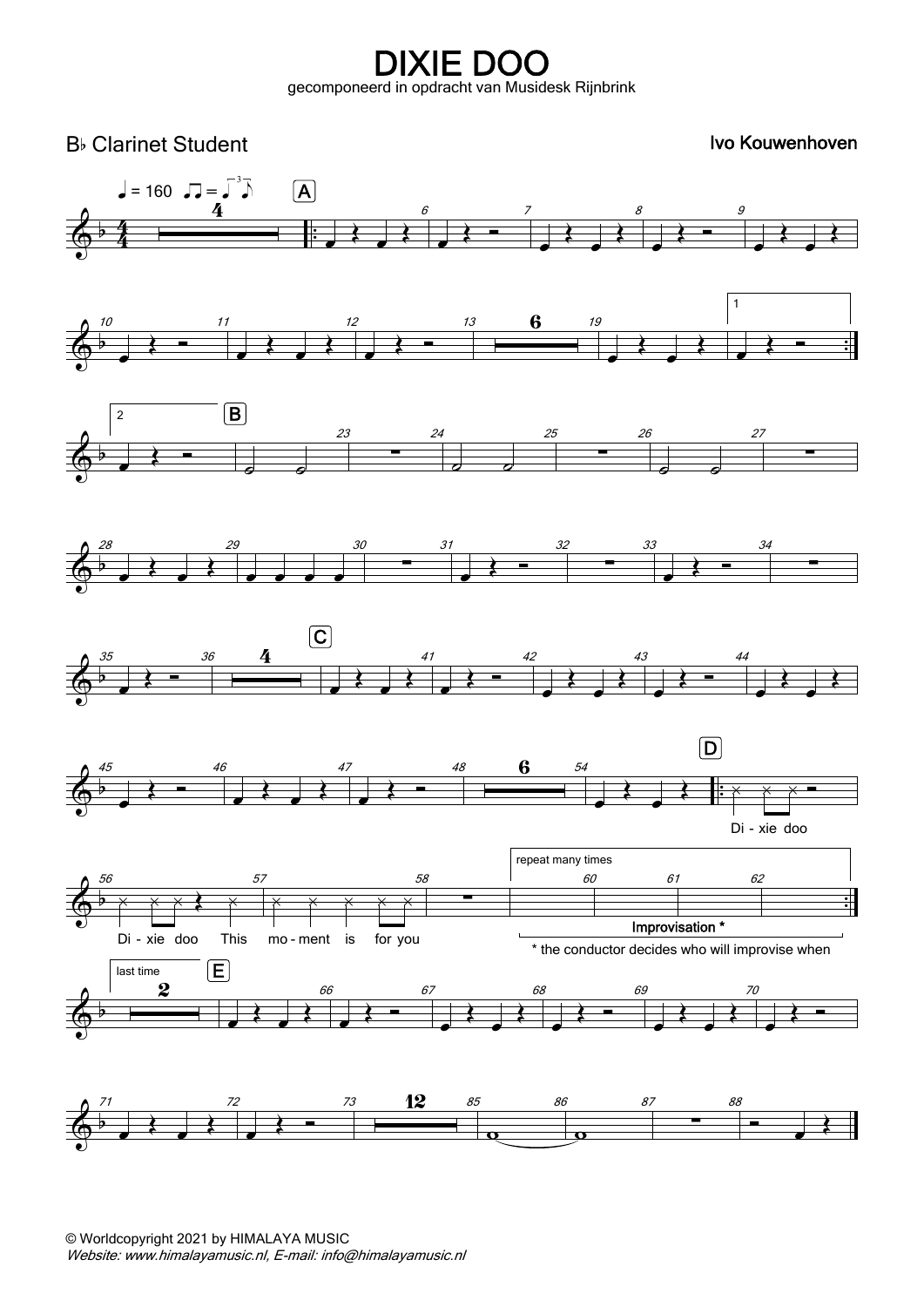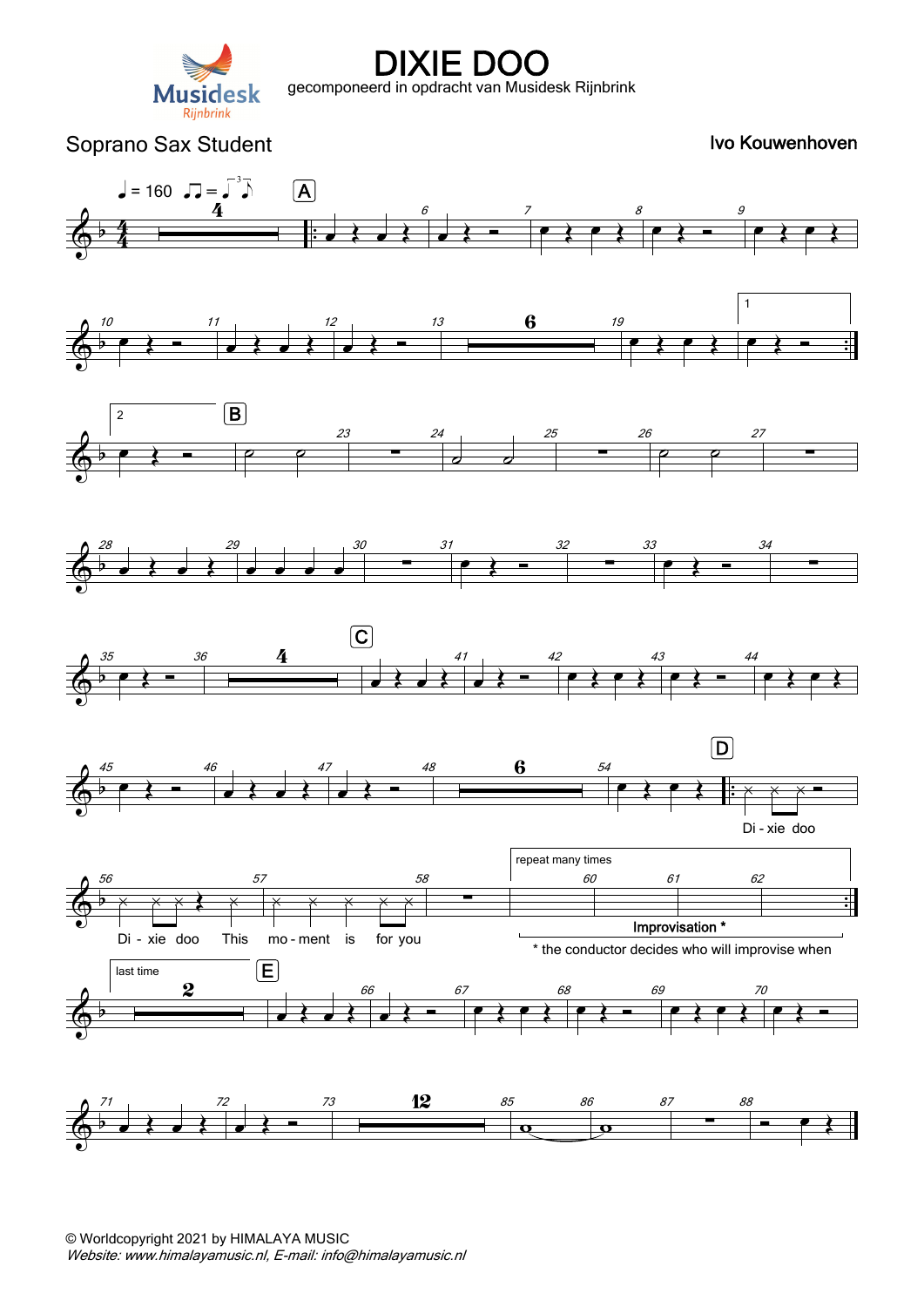

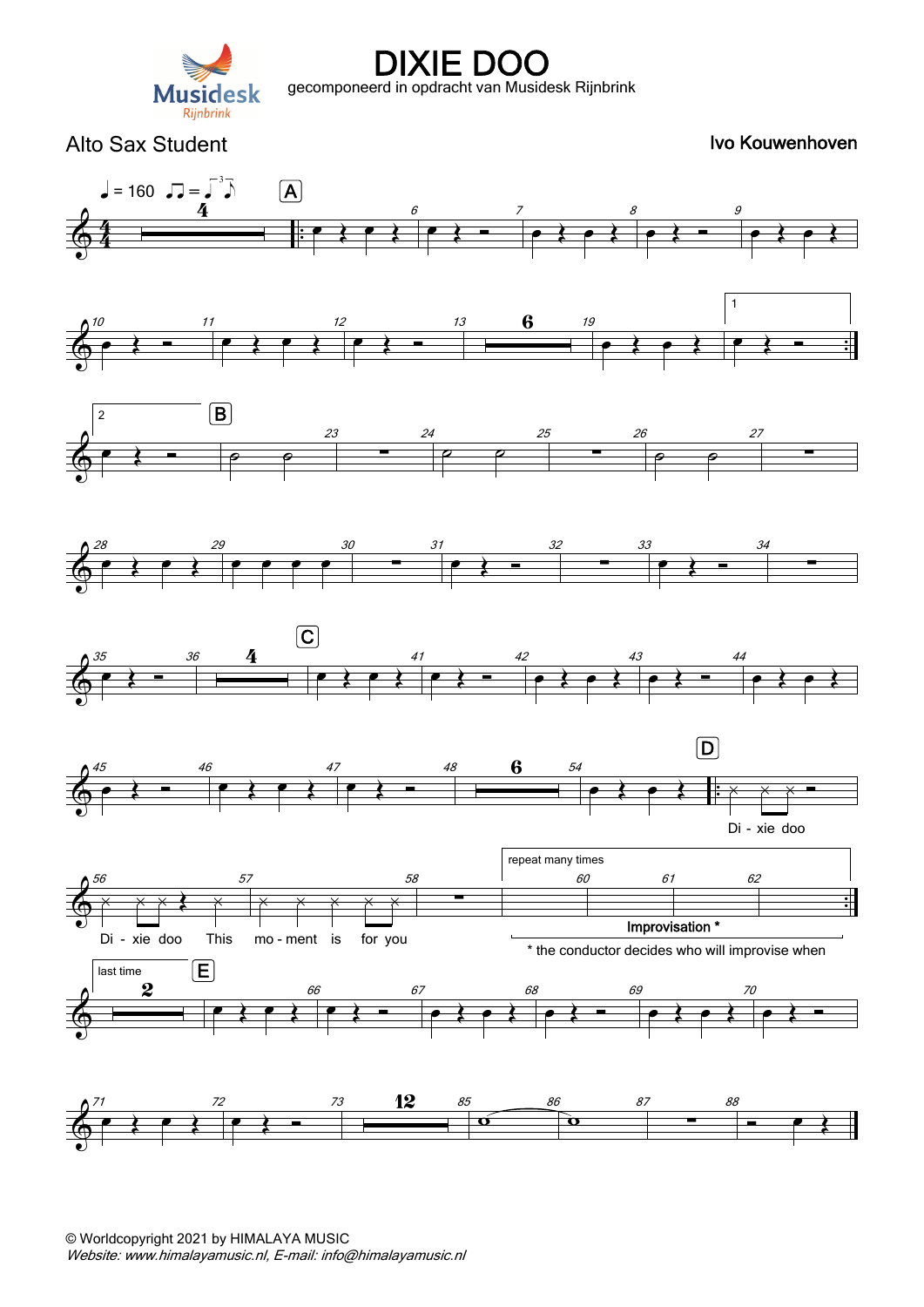

Alto Sax Student **Ivo Kouwenhoven** 

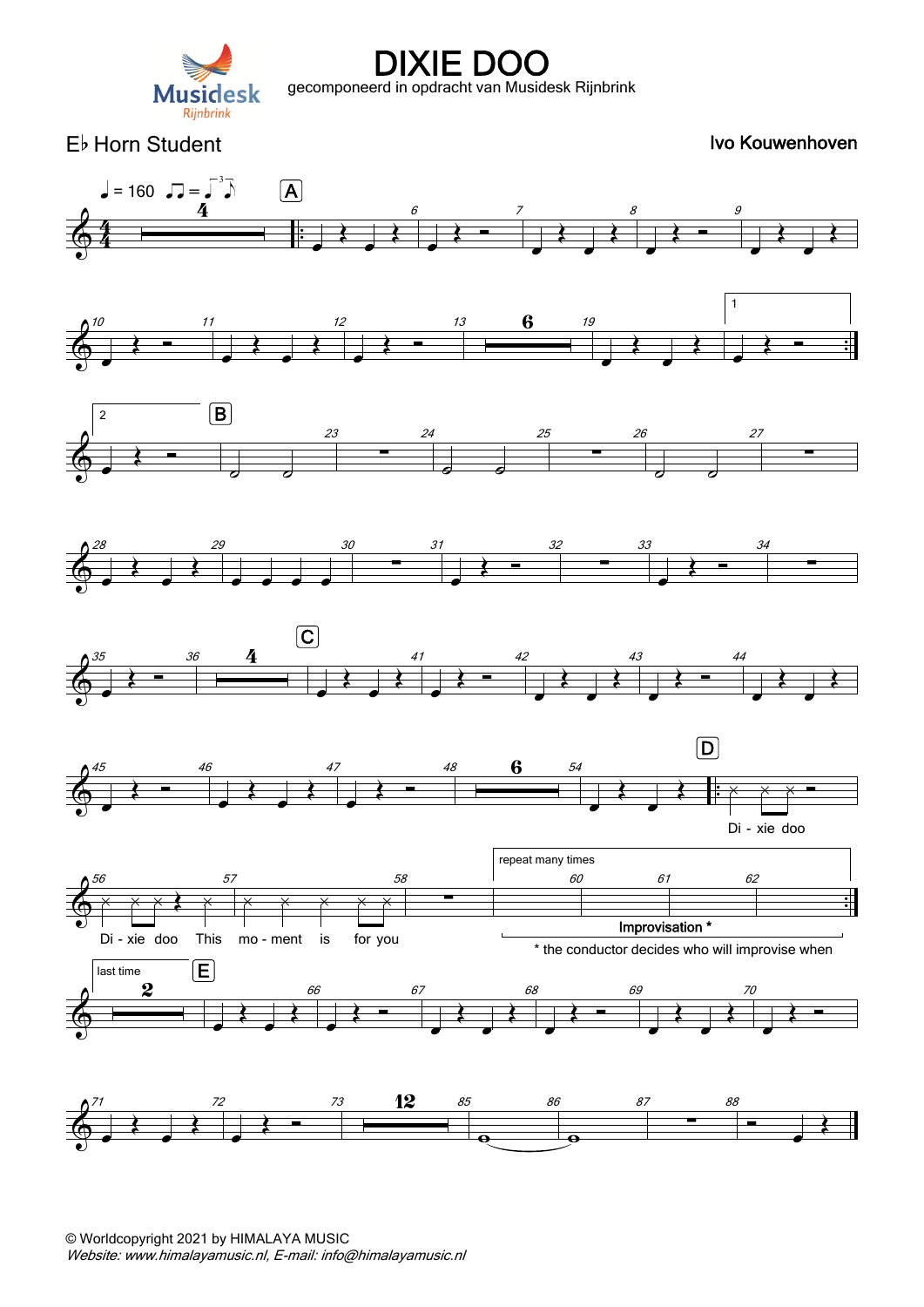

Eb Horn Student **IVo Kouwenhoven** Ivo Kouwenhoven

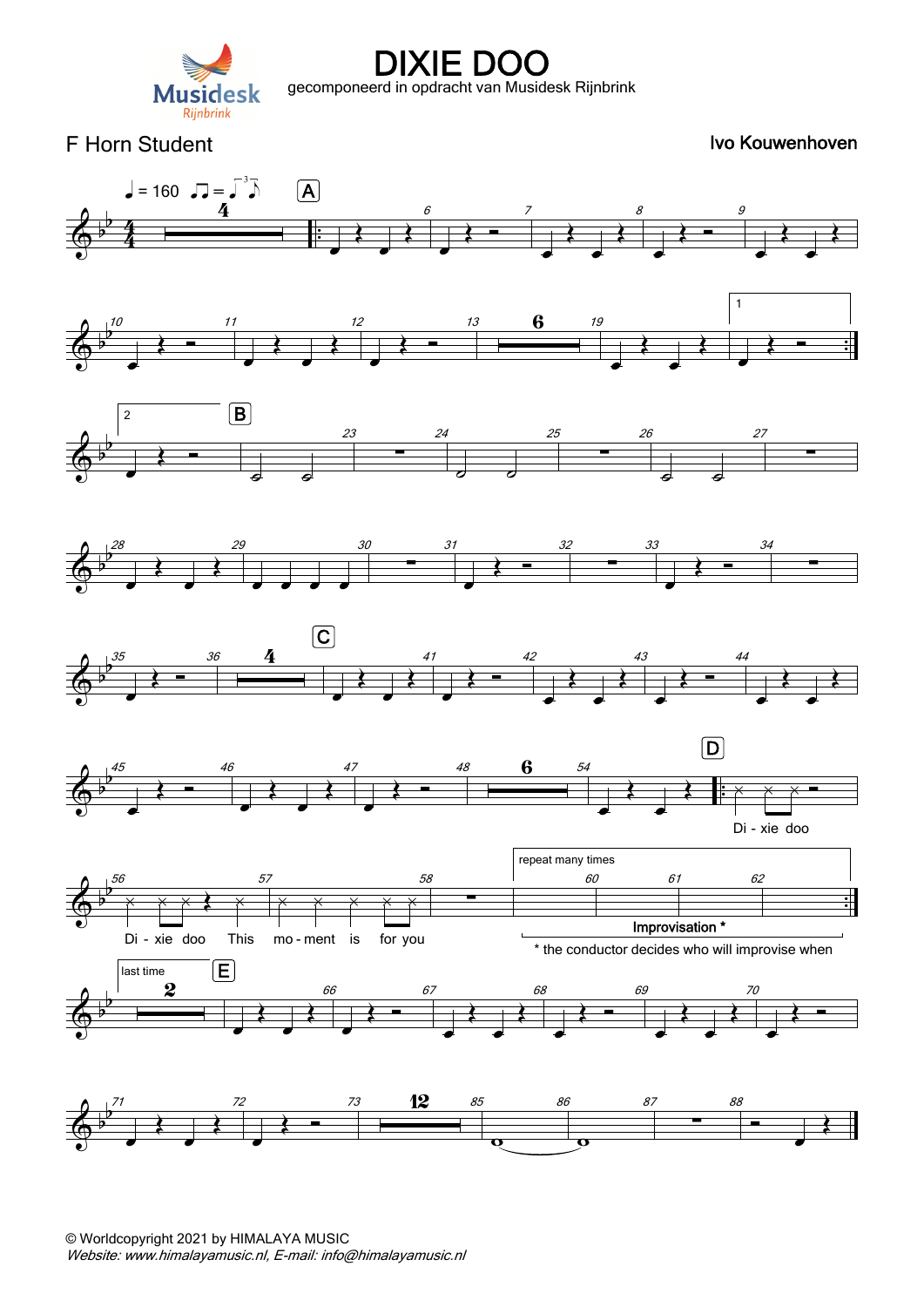

F Horn Student **IVo Kouwenhoven** 

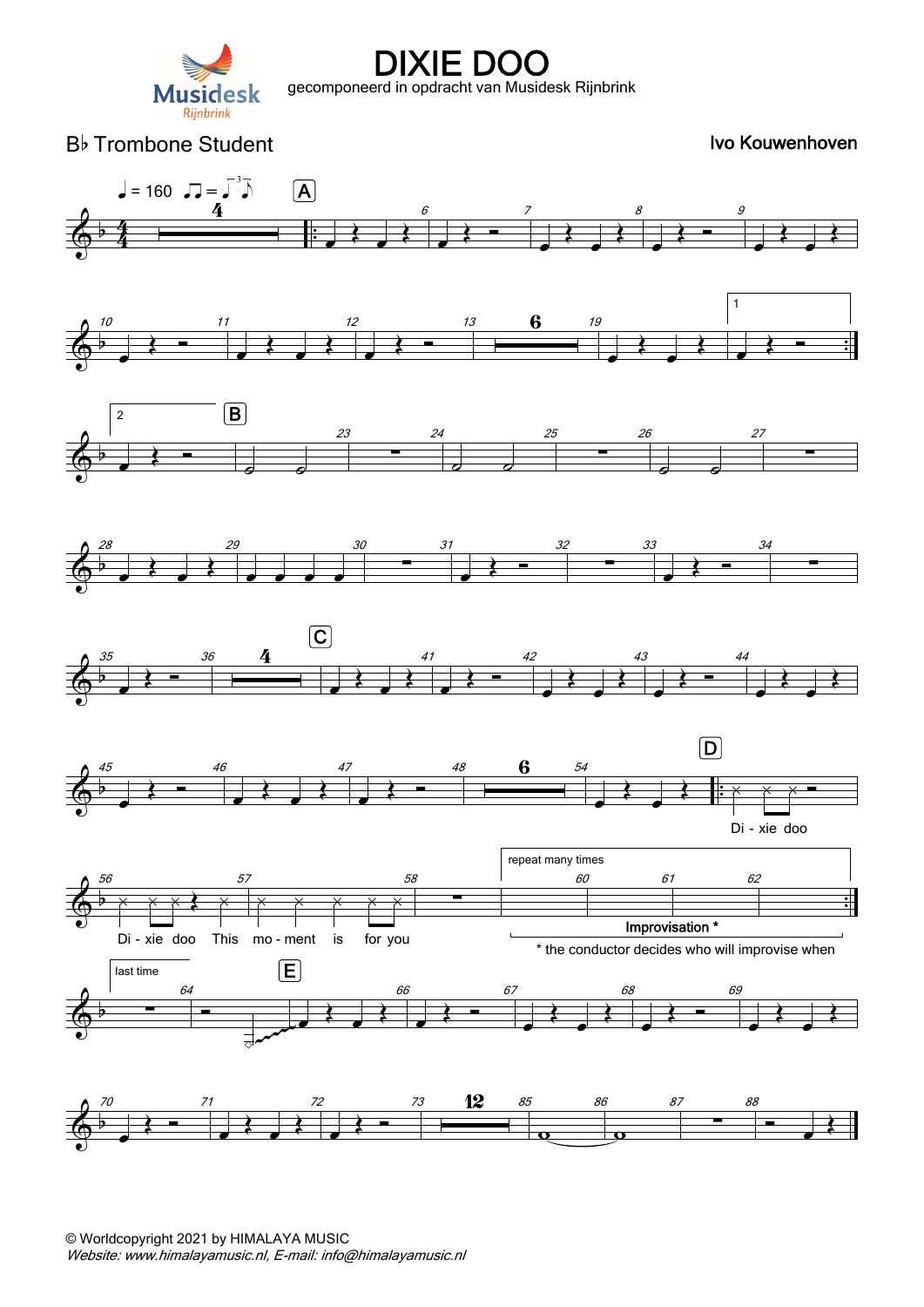

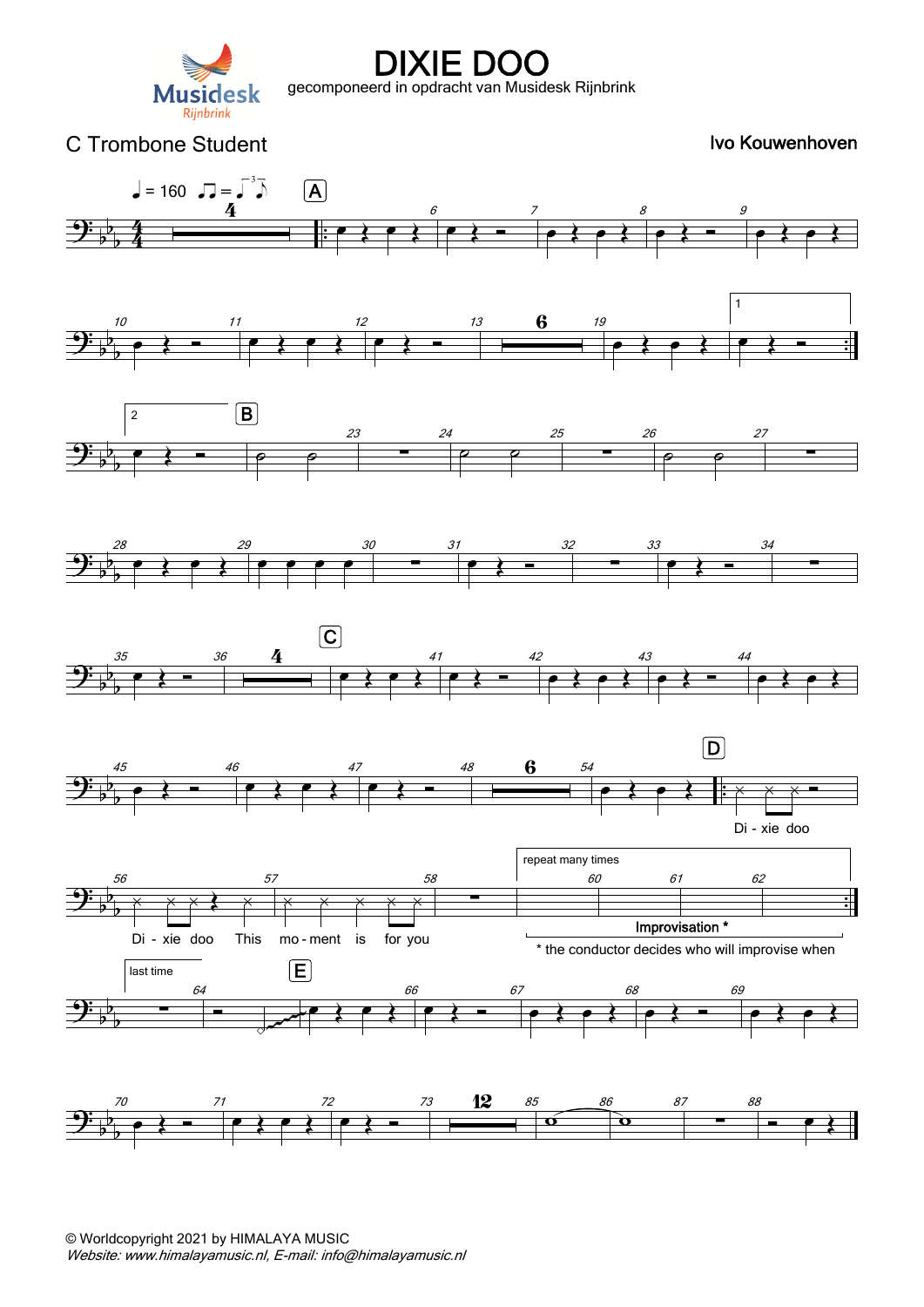

#### $\frac{\partial \cdot}{\partial \phi}$ b  $\frac{4}{2}$  $\frac{4}{4}$  .  $\frac{4}{\overline{\phantom{a}}\phantom{a}}$  $\sqrt{ }$  = 160  $\sqrt{ }$  =  $\sqrt{ }^{3}$  $e \leftrightarrow e$ A 6 œ Œ <sup>7</sup>  $\overrightarrow{e}$ 8  $\bullet$   $\leftarrow$   $\bullet$  $\overrightarrow{e}$  $\Rightarrow$  $\overline{b}^p$ <sup>b</sup> . . <sup>10</sup>  $\bullet$   $\leftarrow$   $\leftarrow$   $\leftarrow$   $\leftarrow$   $\leftarrow$  $\bullet$   $\leftarrow$   $\leftarrow$ 12 <sup>œ</sup> <sup>Œ</sup> <sup>13</sup> <sup>6</sup> <sup>19</sup>  $\bullet$   $\leftarrow$   $\leftarrow$   $\leftarrow$ 1  $\leftarrow$  $\overline{\mathbf{G}_{b}^{2}}$ b b 2  $e \rightarrow e \rightarrow e$  $\boxed{B}$ 23  $\begin{array}{c|c}\n 24 \\
 \hline\n \end{array}$  $\rho$   $\rho$ 25  $\begin{array}{c|c}\n 26 \\
 \hline\n \end{array}$  $\rho$   $\rho$ 27 ∑  $\frac{1}{2}$ b b 28  $\bullet$   $\overrightarrow{?}$ 29 œ œ œ œ 30  $\begin{array}{c}\n 31 \\
 \hline\n 7\n \end{array}$ œ Œ <sup>32</sup>  $\frac{33}{2}$  $\bullet$   $\leftarrow$   $\bullet$   $\bullet$   $\bullet$   $\bullet$   $\bullet$ ∑  $\frac{\partial \cdot}{\partial \phi}$ b b 35  $\begin{array}{c|c}\n36 & 4 \\
\hline\n\end{array}$  $e \leftrightarrow e$  $\overline{c}$ 41  $\leftrightarrow$   $\rightarrow$   $\rightarrow$  $e$   $\leftrightarrow$   $e$   $\leftrightarrow$ 43  $\bullet \leftarrow$  44  $\overrightarrow{e}$  $\frac{1}{2}$ b <sup>b</sup> . . <sup>45</sup>  $\bullet$   $\leftarrow$   $\leftarrow$  $e$   $e$   $e$ 47  $\begin{array}{ccc} & & 48 & & 6 & & 54 \\ \hline & & & & & \\ \hline & & & & & \\ \hline & & & & & \\ \hline & & & & & \\ \hline & & & & & \\ \hline & & & & & \\ \hline & & & & & \\ \hline & & & & & \\ \hline & & & & & \\ \hline & & & & & \\ \hline & & & & & \\ \hline & & & & & & \\ \hline & & & & & & \\ \hline & & & & & & \\ \hline & & & & & & \\ \hline & & & & & & \\ \hline & & & & & & & \\ \hline & & & & & & & \\ \hline & & & & & & & \\ \hline & & & & & & & \\ \hline & &$ **e** } e } : x x x = Di - xie doo  $\boxed{\mathsf{D}}$  $\overline{\mathbf{G}_{b}^{2}}$ b <sup>b</sup> .  $\begin{array}{|c|c|c|c|c|c|}\hline \rule{0pt}{1ex}\scriptstyle{56} & \rule{0pt}{1ex} & \rule{0pt}{1ex} & \rule{0pt}{1ex} & \rule{0pt}{1ex} & \rule{0pt}{1ex} & \rule{0pt}{1ex} & \rule{0pt}{1ex} & \rule{0pt}{1ex} & \rule{0pt}{1ex} & \rule{0pt}{1ex} & \rule{0pt}{1ex} & \rule{0pt}{1ex} & \rule{0pt}{1ex} & \rule{0pt}{1ex} & \rule{0pt}{1ex} & \rule{0pt}{1ex} & \rule{0pt}{1ex} & \rule{0pt}{1ex} & \rule{$  $\times$   $\times$   $\times$   $\times$   $\times$ Di - xie doo This mo -57  $\times$   $\times$   $\times$   $\times$   $\times$ mo-ment is for you 58 ∑ repeat many times 60 Improvisation \* 61 62  $\frac{\partial \cdot}{\partial \phi}$ b b last time  $\begin{array}{c|c}\n & 64 \\
\hline\n\end{array}$  $\overline{\phantom{a}}$  $e \leftrightarrow e$ E 66  $\begin{array}{c} \bullet \end{array}$  $e$   $\leftrightarrow$   $e$   $\leftrightarrow$ 68  $e \leftarrow$  69 œ Œ œ Œ ~~~~~  $\frac{1}{2}$ b b 70  $\bullet$   $\leftarrow$   $\overline{ }$   $\overline{ }$   $\overline{ }$   $\overline{ }$   $\overline{ }$   $\overline{ }$   $\overline{ }$   $\overline{ }$   $\overline{ }$   $\overline{ }$   $\overline{ }$   $\overline{ }$   $\overline{ }$   $\overline{ }$   $\overline{ }$   $\overline{ }$   $\overline{ }$   $\overline{ }$   $\overline{ }$   $\overline{ }$   $\overline{ }$   $\overline{ }$   $\overline{ }$   $\overline{ }$   $\overline{ }$   $\overline{ }$   $\$  $e \leftrightarrow e$ 72  $\begin{array}{c|c} \hline \text{73} & \textbf{12} & \textbf{85} \\ \hline \textbf{25} & \textbf{56} & \textbf{12} \\ \hline \end{array}$  $\bullet$ 86  $\alpha$ 87  $\begin{array}{c}\n 88 \\
 \hline\n 72\n \end{array}$  œ Œ C Trombone Student **IVo Kouwenhoven** Ivo Kouwenhoven \* the conductor decides who will improvise when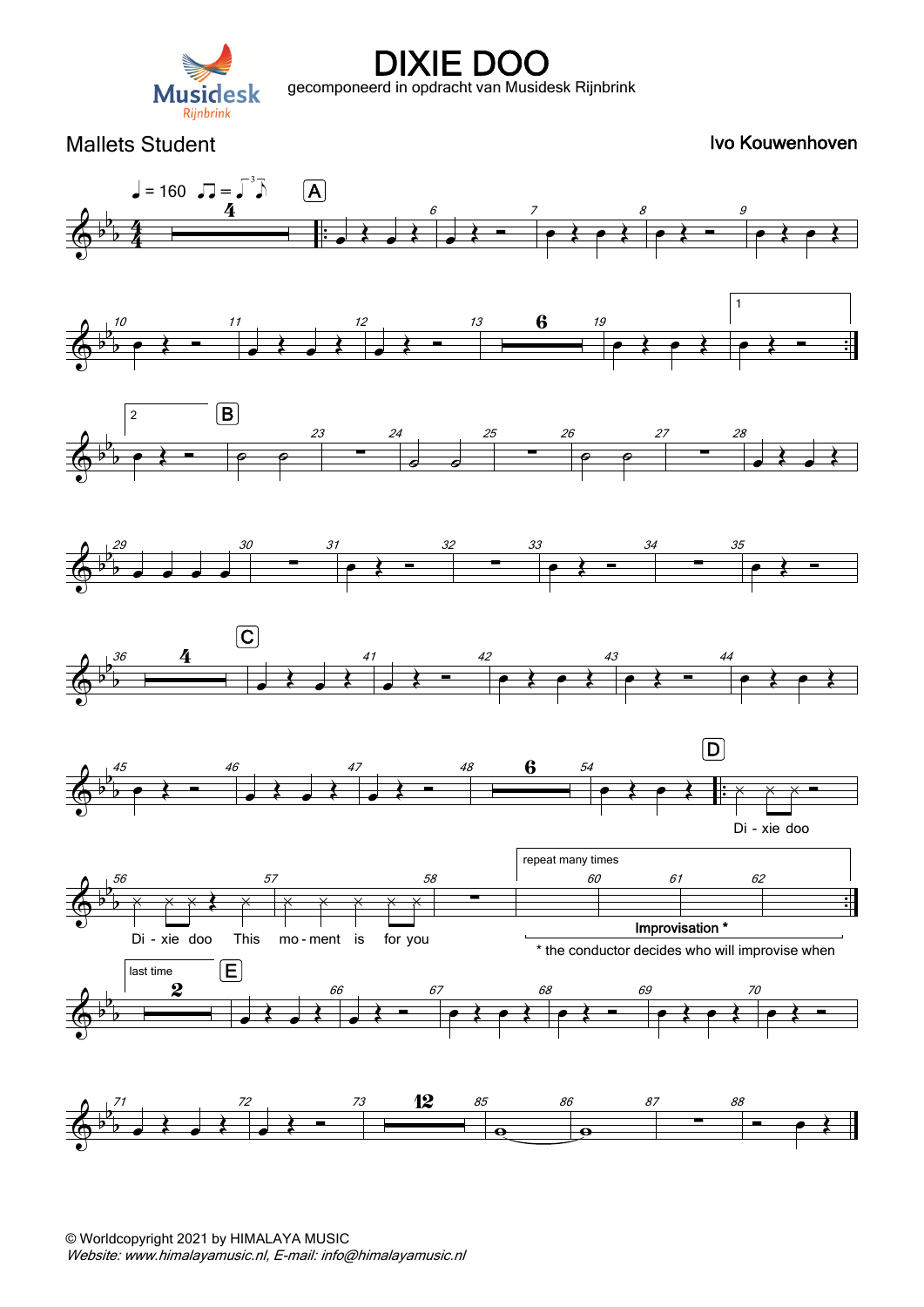

Mallets Student **Ivo Kouwenhoven** 

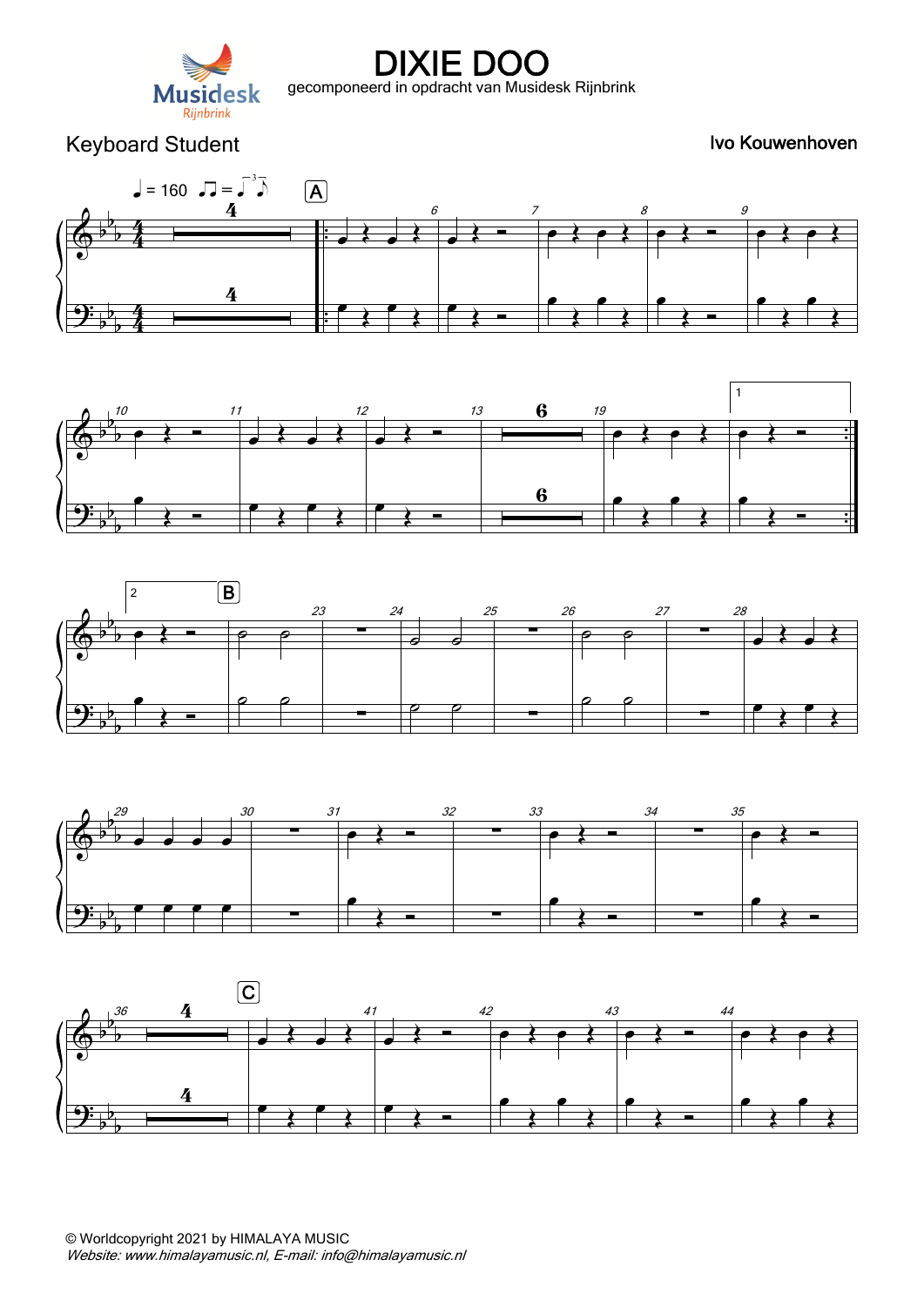

Keyboard Student **IVo Kouwenhoven** Ivo Kouwenhoven









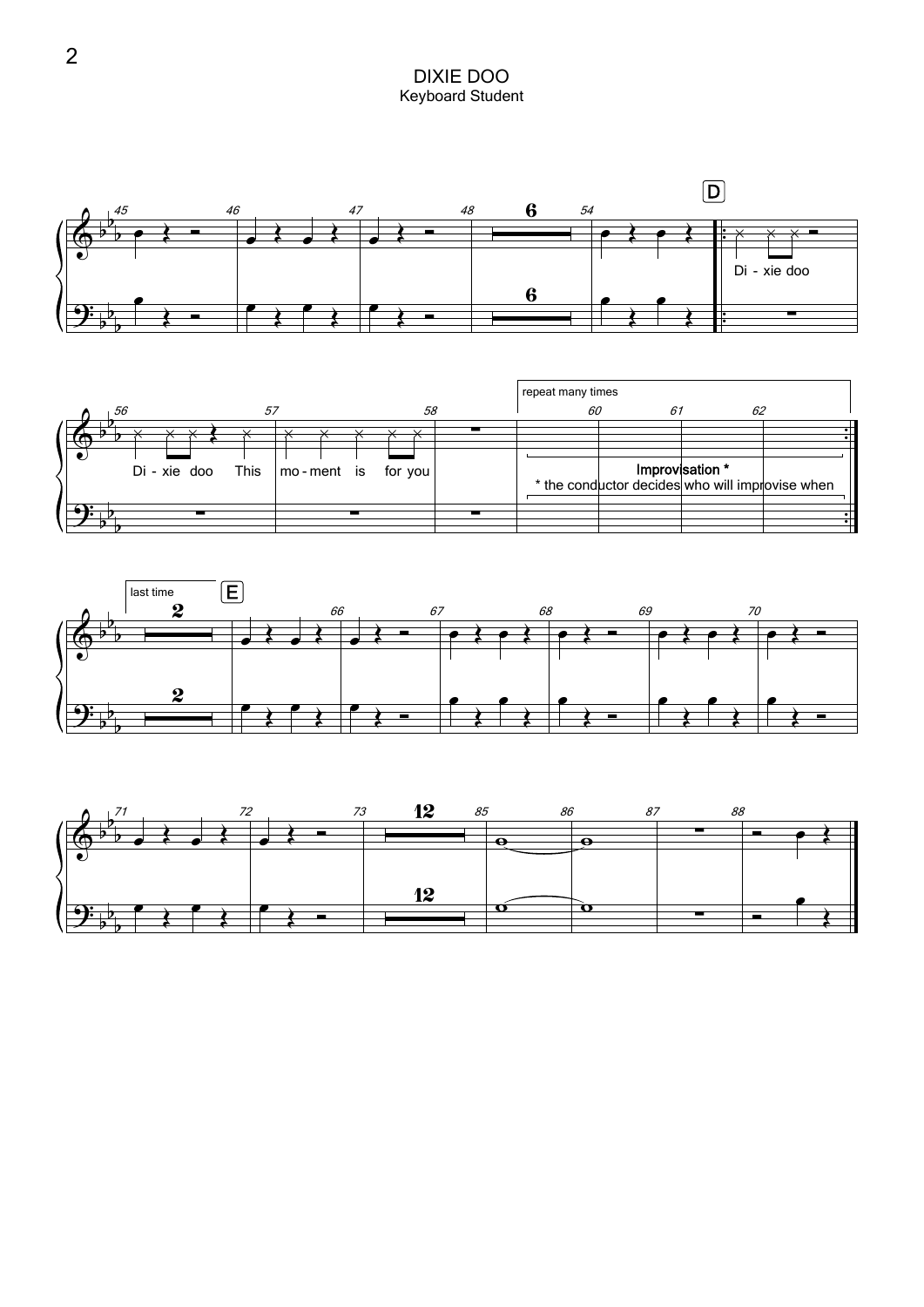DIXIE DOO Keyboard Student